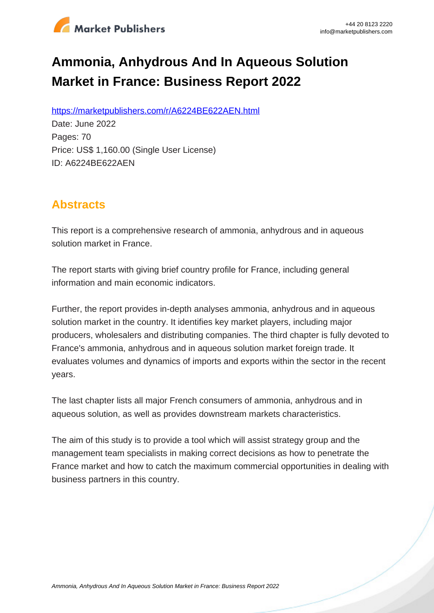

# **Ammonia, Anhydrous And In Aqueous Solution Market in France: Business Report 2022**

https://marketpublishers.com/r/A6224BE622AEN.html

Date: June 2022 Pages: 70 Price: US\$ 1,160.00 (Single User License) ID: A6224BE622AEN

# **Abstracts**

This report is a comprehensive research of ammonia, anhydrous and in aqueous solution market in France.

The report starts with giving brief country profile for France, including general information and main economic indicators.

Further, the report provides in-depth analyses ammonia, anhydrous and in aqueous solution market in the country. It identifies key market players, including major producers, wholesalers and distributing companies. The third chapter is fully devoted to France's ammonia, anhydrous and in aqueous solution market foreign trade. It evaluates volumes and dynamics of imports and exports within the sector in the recent years.

The last chapter lists all major French consumers of ammonia, anhydrous and in aqueous solution, as well as provides downstream markets characteristics.

The aim of this study is to provide a tool which will assist strategy group and the management team specialists in making correct decisions as how to penetrate the France market and how to catch the maximum commercial opportunities in dealing with business partners in this country.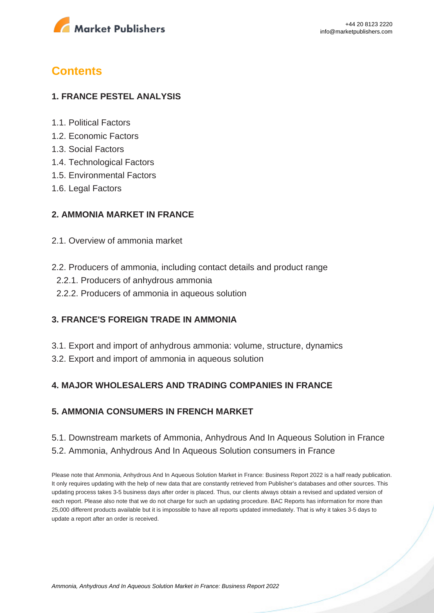

# **Contents**

#### **1. FRANCE PESTEL ANALYSIS**

- 1.1. Political Factors
- 1.2. Economic Factors
- 1.3. Social Factors
- 1.4. Technological Factors
- 1.5. Environmental Factors
- 1.6. Legal Factors

#### **2. AMMONIA MARKET IN FRANCE**

- 2.1. Overview of ammonia market
- 2.2. Producers of ammonia, including contact details and product range
	- 2.2.1. Producers of anhydrous ammonia
	- 2.2.2. Producers of ammonia in aqueous solution

#### **3. FRANCE'S FOREIGN TRADE IN AMMONIA**

- 3.1. Export and import of anhydrous ammonia: volume, structure, dynamics
- 3.2. Export and import of ammonia in aqueous solution

#### **4. MAJOR WHOLESALERS AND TRADING COMPANIES IN FRANCE**

### **5. AMMONIA CONSUMERS IN FRENCH MARKET**

## 5.1. Downstream markets of Ammonia, Anhydrous And In Aqueous Solution in France 5.2. Ammonia, Anhydrous And In Aqueous Solution consumers in France

Please note that Ammonia, Anhydrous And In Aqueous Solution Market in France: Business Report 2022 is a half ready publication. It only requires updating with the help of new data that are constantly retrieved from Publisher's databases and other sources. This updating process takes 3-5 business days after order is placed. Thus, our clients always obtain a revised and updated version of each report. Please also note that we do not charge for such an updating procedure. BAC Reports has information for more than 25,000 different products available but it is impossible to have all reports updated immediately. That is why it takes 3-5 days to update a report after an order is received.